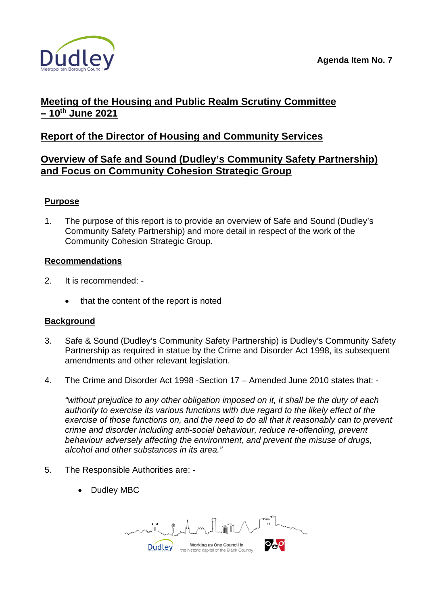

# **Meeting of the Housing and Public Realm Scrutiny Committee – 10th June 2021**

# **Report of the Director of Housing and Community Services**

# **Overview of Safe and Sound (Dudley's Community Safety Partnership) and Focus on Community Cohesion Strategic Group**

# **Purpose**

1. The purpose of this report is to provide an overview of Safe and Sound (Dudley's Community Safety Partnership) and more detail in respect of the work of the Community Cohesion Strategic Group.

## **Recommendations**

- 2. It is recommended:
	- that the content of the report is noted

### **Background**

- 3. Safe & Sound (Dudley's Community Safety Partnership) is Dudley's Community Safety Partnership as required in statue by the Crime and Disorder Act 1998, its subsequent amendments and other relevant legislation.
- 4. The Crime and Disorder Act 1998 -Section 17 Amended June 2010 states that: -

*"without prejudice to any other obligation imposed on it, it shall be the duty of each authority to exercise its various functions with due regard to the likely effect of the exercise of those functions on, and the need to do all that it reasonably can to prevent crime and disorder including anti-social behaviour, reduce re-offending, prevent behaviour adversely affecting the environment, and prevent the misuse of drugs, alcohol and other substances in its area."*

- 5. The Responsible Authorities are:
	- Dudley MBC

Working as One Council in **Dudley** the historic capital of the Black Country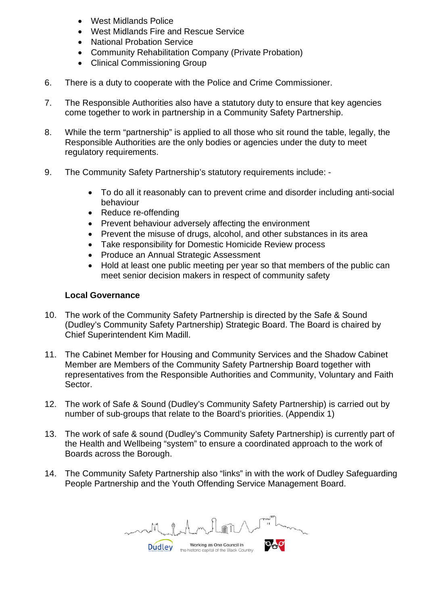- West Midlands Police
- West Midlands Fire and Rescue Service
- National Probation Service
- Community Rehabilitation Company (Private Probation)
- Clinical Commissioning Group
- 6. There is a duty to cooperate with the Police and Crime Commissioner.
- 7. The Responsible Authorities also have a statutory duty to ensure that key agencies come together to work in partnership in a Community Safety Partnership.
- 8. While the term "partnership" is applied to all those who sit round the table, legally, the Responsible Authorities are the only bodies or agencies under the duty to meet regulatory requirements.
- 9. The Community Safety Partnership's statutory requirements include:
	- To do all it reasonably can to prevent crime and disorder including anti-social behaviour
	- Reduce re-offending
	- Prevent behaviour adversely affecting the environment
	- Prevent the misuse of drugs, alcohol, and other substances in its area
	- Take responsibility for Domestic Homicide Review process
	- Produce an Annual Strategic Assessment
	- Hold at least one public meeting per year so that members of the public can meet senior decision makers in respect of community safety

## **Local Governance**

- 10. The work of the Community Safety Partnership is directed by the Safe & Sound (Dudley's Community Safety Partnership) Strategic Board. The Board is chaired by Chief Superintendent Kim Madill.
- 11. The Cabinet Member for Housing and Community Services and the Shadow Cabinet Member are Members of the Community Safety Partnership Board together with representatives from the Responsible Authorities and Community, Voluntary and Faith Sector.
- 12. The work of Safe & Sound (Dudley's Community Safety Partnership) is carried out by number of sub-groups that relate to the Board's priorities. (Appendix 1)
- 13. The work of safe & sound (Dudley's Community Safety Partnership) is currently part of the Health and Wellbeing "system" to ensure a coordinated approach to the work of Boards across the Borough.
- 14. The Community Safety Partnership also "links" in with the work of Dudley Safeguarding People Partnership and the Youth Offending Service Management Board.

Working as One Council in **Dudley** the historic capital of the Black Country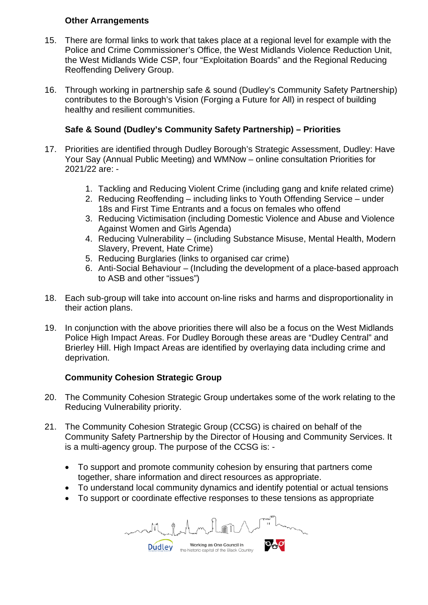# **Other Arrangements**

- 15. There are formal links to work that takes place at a regional level for example with the Police and Crime Commissioner's Office, the West Midlands Violence Reduction Unit, the West Midlands Wide CSP, four "Exploitation Boards" and the Regional Reducing Reoffending Delivery Group.
- 16. Through working in partnership safe & sound (Dudley's Community Safety Partnership) contributes to the Borough's Vision (Forging a Future for All) in respect of building healthy and resilient communities.

# **Safe & Sound (Dudley's Community Safety Partnership) – Priorities**

- 17. Priorities are identified through Dudley Borough's Strategic Assessment, Dudley: Have Your Say (Annual Public Meeting) and WMNow – online consultation Priorities for 2021/22 are: -
	- 1. Tackling and Reducing Violent Crime (including gang and knife related crime)
	- 2. Reducing Reoffending including links to Youth Offending Service under 18s and First Time Entrants and a focus on females who offend
	- 3. Reducing Victimisation (including Domestic Violence and Abuse and Violence Against Women and Girls Agenda)
	- 4. Reducing Vulnerability (including Substance Misuse, Mental Health, Modern Slavery, Prevent, Hate Crime)
	- 5. Reducing Burglaries (links to organised car crime)
	- 6. Anti-Social Behaviour (Including the development of a place-based approach to ASB and other "issues")
- 18. Each sub-group will take into account on-line risks and harms and disproportionality in their action plans.
- 19. In conjunction with the above priorities there will also be a focus on the West Midlands Police High Impact Areas. For Dudley Borough these areas are "Dudley Central" and Brierley Hill. High Impact Areas are identified by overlaying data including crime and deprivation.

# **Community Cohesion Strategic Group**

- 20. The Community Cohesion Strategic Group undertakes some of the work relating to the Reducing Vulnerability priority.
- 21. The Community Cohesion Strategic Group (CCSG) is chaired on behalf of the Community Safety Partnership by the Director of Housing and Community Services. It is a multi-agency group. The purpose of the CCSG is: -
	- To support and promote community cohesion by ensuring that partners come together, share information and direct resources as appropriate.
	- To understand local community dynamics and identify potential or actual tensions
	- To support or coordinate effective responses to these tensions as appropriate

Working as One Council in **Dudley** the historic capital of the Black Country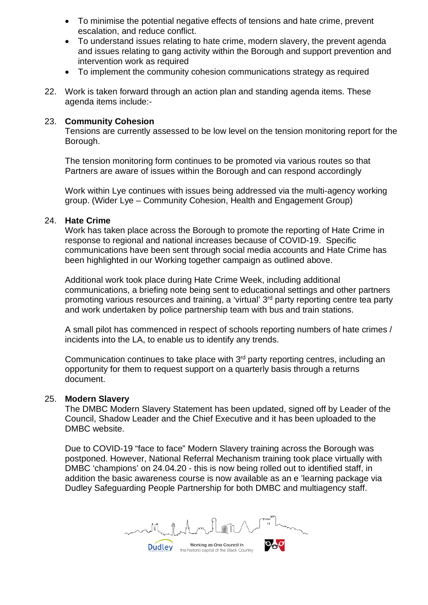- To minimise the potential negative effects of tensions and hate crime, prevent escalation, and reduce conflict.
- To understand issues relating to hate crime, modern slavery, the prevent agenda and issues relating to gang activity within the Borough and support prevention and intervention work as required
- To implement the community cohesion communications strategy as required
- 22. Work is taken forward through an action plan and standing agenda items. These agenda items include:-

#### 23. **Community Cohesion**

Tensions are currently assessed to be low level on the tension monitoring report for the Borough.

The tension monitoring form continues to be promoted via various routes so that Partners are aware of issues within the Borough and can respond accordingly

Work within Lye continues with issues being addressed via the multi-agency working group. (Wider Lye – Community Cohesion, Health and Engagement Group)

#### 24. **Hate Crime**

Work has taken place across the Borough to promote the reporting of Hate Crime in response to regional and national increases because of COVID-19. Specific communications have been sent through social media accounts and Hate Crime has been highlighted in our Working together campaign as outlined above.

Additional work took place during Hate Crime Week, including additional communications, a briefing note being sent to educational settings and other partners promoting various resources and training, a 'virtual' 3rd party reporting centre tea party and work undertaken by police partnership team with bus and train stations.

A small pilot has commenced in respect of schools reporting numbers of hate crimes / incidents into the LA, to enable us to identify any trends.

Communication continues to take place with 3<sup>rd</sup> party reporting centres, including an opportunity for them to request support on a quarterly basis through a returns document.

#### 25. **Modern Slavery**

The DMBC Modern Slavery Statement has been updated, signed off by Leader of the Council, Shadow Leader and the Chief Executive and it has been uploaded to the DMBC website.

Due to COVID-19 "face to face" Modern Slavery training across the Borough was postponed. However, National Referral Mechanism training took place virtually with DMBC 'champions' on 24.04.20 - this is now being rolled out to identified staff, in addition the basic awareness course is now available as an e 'learning package via Dudley Safeguarding People Partnership for both DMBC and multiagency staff.

Working as One Council in **Dudley** the historic capital of the Black Country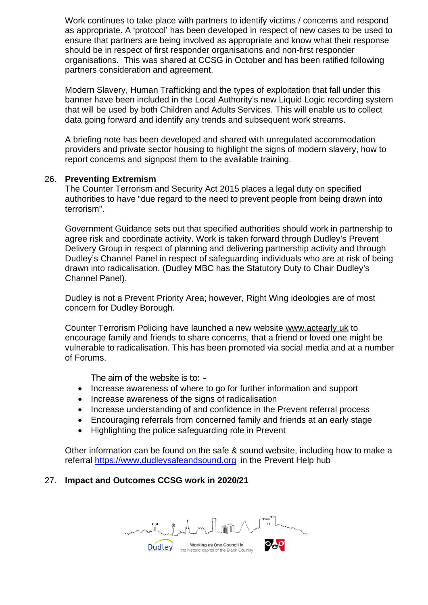Work continues to take place with partners to identify victims / concerns and respond as appropriate. A 'protocol' has been developed in respect of new cases to be used to ensure that partners are being involved as appropriate and know what their response should be in respect of first responder organisations and non-first responder organisations. This was shared at CCSG in October and has been ratified following partners consideration and agreement.

Modern Slavery, Human Trafficking and the types of exploitation that fall under this banner have been included in the Local Authority's new Liquid Logic recording system that will be used by both Children and Adults Services. This will enable us to collect data going forward and identify any trends and subsequent work streams.

A briefing note has been developed and shared with unregulated accommodation providers and private sector housing to highlight the signs of modern slavery, how to report concerns and signpost them to the available training.

#### 26. **Preventing Extremism**

The Counter Terrorism and Security Act 2015 places a legal duty on specified authorities to have "due regard to the need to prevent people from being drawn into terrorism".

Government Guidance sets out that specified authorities should work in partnership to agree risk and coordinate activity. Work is taken forward through Dudley's Prevent Delivery Group in respect of planning and delivering partnership activity and through Dudley's Channel Panel in respect of safeguarding individuals who are at risk of being drawn into radicalisation. (Dudley MBC has the Statutory Duty to Chair Dudley's Channel Panel).

Dudley is not a Prevent Priority Area; however, Right Wing ideologies are of most concern for Dudley Borough.

Counter Terrorism Policing have launched a new website [www.actearly.uk](http://www.actearly.uk/) to encourage family and friends to share concerns, that a friend or loved one might be vulnerable to radicalisation. This has been promoted via social media and at a number of Forums.

The aim of the website is to: -

- Increase awareness of where to go for further information and support
- Increase awareness of the signs of radicalisation
- Increase understanding of and confidence in the Prevent referral process
- Encouraging referrals from concerned family and friends at an early stage
- Highlighting the police safeguarding role in Prevent

Other information can be found on the safe & sound website, including how to make a referral [https://www.dudleysafeandsound.org](https://www.dudleysafeandsound.org/) in the Prevent Help hub

### 27. **Impact and Outcomes CCSG work in 2020/21**

Working as One Council in **Dudley** the historic capital of the Black Country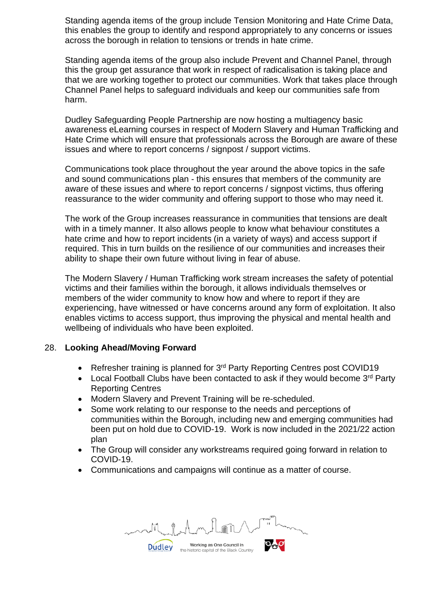Standing agenda items of the group include Tension Monitoring and Hate Crime Data, this enables the group to identify and respond appropriately to any concerns or issues across the borough in relation to tensions or trends in hate crime.

Standing agenda items of the group also include Prevent and Channel Panel, through this the group get assurance that work in respect of radicalisation is taking place and that we are working together to protect our communities. Work that takes place through Channel Panel helps to safeguard individuals and keep our communities safe from harm.

Dudley Safeguarding People Partnership are now hosting a multiagency basic awareness eLearning courses in respect of Modern Slavery and Human Trafficking and Hate Crime which will ensure that professionals across the Borough are aware of these issues and where to report concerns / signpost / support victims.

Communications took place throughout the year around the above topics in the safe and sound communications plan - this ensures that members of the community are aware of these issues and where to report concerns / signpost victims, thus offering reassurance to the wider community and offering support to those who may need it.

The work of the Group increases reassurance in communities that tensions are dealt with in a timely manner. It also allows people to know what behaviour constitutes a hate crime and how to report incidents (in a variety of ways) and access support if required. This in turn builds on the resilience of our communities and increases their ability to shape their own future without living in fear of abuse.

The Modern Slavery / Human Trafficking work stream increases the safety of potential victims and their families within the borough, it allows individuals themselves or members of the wider community to know how and where to report if they are experiencing, have witnessed or have concerns around any form of exploitation. It also enables victims to access support, thus improving the physical and mental health and wellbeing of individuals who have been exploited.

### 28. **Looking Ahead/Moving Forward**

- Refresher training is planned for  $3<sup>rd</sup>$  Party Reporting Centres post COVID19
- Local Football Clubs have been contacted to ask if they would become  $3<sup>rd</sup>$  Party Reporting Centres
- Modern Slavery and Prevent Training will be re-scheduled.
- Some work relating to our response to the needs and perceptions of communities within the Borough, including new and emerging communities had been put on hold due to COVID-19. Work is now included in the 2021/22 action plan
- The Group will consider any workstreams required going forward in relation to COVID-19.
- Communications and campaigns will continue as a matter of course.

Working as One Council in **Dudley** the historic capital of the Black Country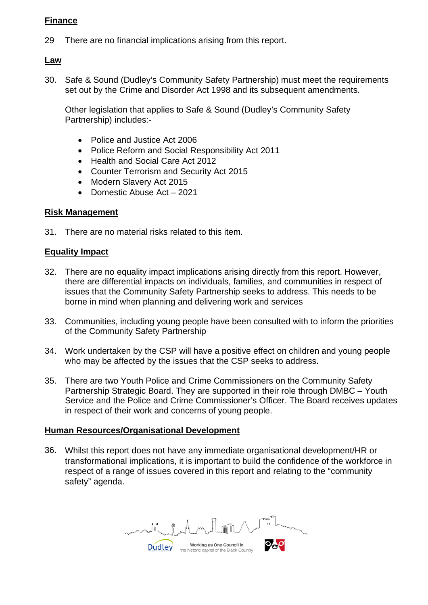# **Finance**

29 There are no financial implications arising from this report.

## **Law**

30. Safe & Sound (Dudley's Community Safety Partnership) must meet the requirements set out by the Crime and Disorder Act 1998 and its subsequent amendments.

Other legislation that applies to Safe & Sound (Dudley's Community Safety Partnership) includes:-

- Police and Justice Act 2006
- Police Reform and Social Responsibility Act 2011
- Health and Social Care Act 2012
- Counter Terrorism and Security Act 2015
- Modern Slavery Act 2015
- Domestic Abuse Act 2021

## **Risk Management**

31. There are no material risks related to this item.

### **Equality Impact**

- 32. There are no equality impact implications arising directly from this report. However, there are differential impacts on individuals, families, and communities in respect of issues that the Community Safety Partnership seeks to address. This needs to be borne in mind when planning and delivering work and services
- 33. Communities, including young people have been consulted with to inform the priorities of the Community Safety Partnership
- 34. Work undertaken by the CSP will have a positive effect on children and young people who may be affected by the issues that the CSP seeks to address.
- 35. There are two Youth Police and Crime Commissioners on the Community Safety Partnership Strategic Board. They are supported in their role through DMBC – Youth Service and the Police and Crime Commissioner's Officer. The Board receives updates in respect of their work and concerns of young people.

### **Human Resources/Organisational Development**

36. Whilst this report does not have any immediate organisational development/HR or transformational implications, it is important to build the confidence of the workforce in respect of a range of issues covered in this report and relating to the "community safety" agenda.

Working as One Council in **Dudley** the historic capital of the Black Country